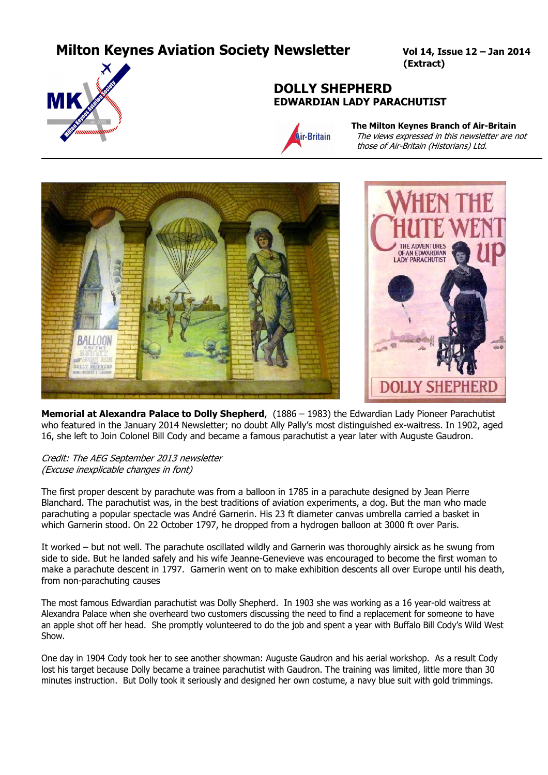## Milton Keynes Aviation Society Newsletter vol 14, Issue 12 – Jan 2014

(Extract)



## DOLLY SHEPHERD EDWARDIAN LADY PARACHUTIST

 $\boldsymbol{f}$  The Milton Keynes Branch of Air-Britain<br>Air-Britain *The views expressed in this newsletter are n*  The views expressed in this newsletter are not those of Air-Britain (Historians) Ltd.





**Memorial at Alexandra Palace to Dolly Shepherd,** (1886 – 1983) the Edwardian Lady Pioneer Parachutist who featured in the January 2014 Newsletter; no doubt Ally Pally's most distinguished ex-waitress. In 1902, aged 16, she left to Join Colonel Bill Cody and became a famous parachutist a year later with Auguste Gaudron.

Credit: The AEG September 2013 newsletter (Excuse inexplicable changes in font)

The first proper descent by parachute was from a balloon in 1785 in a parachute designed by Jean Pierre Blanchard. The parachutist was, in the best traditions of aviation experiments, a dog. But the man who made parachuting a popular spectacle was André Garnerin. His 23 ft diameter canvas umbrella carried a basket in which Garnerin stood. On 22 October 1797, he dropped from a hydrogen balloon at 3000 ft over Paris.

It worked – but not well. The parachute oscillated wildly and Garnerin was thoroughly airsick as he swung from side to side. But he landed safely and his wife Jeanne-Genevieve was encouraged to become the first woman to make a parachute descent in 1797. Garnerin went on to make exhibition descents all over Europe until his death, from non-parachuting causes

The most famous Edwardian parachutist was Dolly Shepherd. In 1903 she was working as a 16 year-old waitress at Alexandra Palace when she overheard two customers discussing the need to find a replacement for someone to have an apple shot off her head. She promptly volunteered to do the job and spent a year with Buffalo Bill Cody's Wild West Show.

One day in 1904 Cody took her to see another showman: Auguste Gaudron and his aerial workshop. As a result Cody lost his target because Dolly became a trainee parachutist with Gaudron. The training was limited, little more than 30 minutes instruction. But Dolly took it seriously and designed her own costume, a navy blue suit with gold trimmings.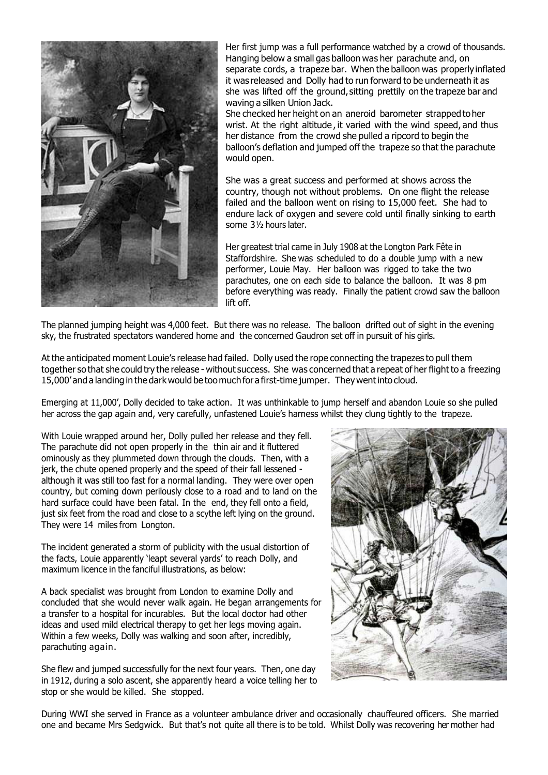

Her first jump was a full performance watched by a crowd of thousands. Hanging below a small gas balloon was her parachute and, on separate cords, a trapeze bar. When the balloon was properly inflated it was released and Dolly had to run forward to be underneath it as she was lifted off the ground, sitting prettily on the trapeze bar and waving a silken Union Jack.

She checked her height on an aneroid barometer strapped to her wrist. At the right altitude , it varied with the wind speed, and thus her distance from the crowd she pulled a ripcord to begin the balloon's deflation and jumped off the trapeze so that the parachute would open.

She was a great success and performed at shows across the country, though not without problems. On one flight the release failed and the balloon went on rising to 15,000 feet. She had to endure lack of oxygen and severe cold until finally sinking to earth some 3½ hours later.

Her greatest trial came in July 1908 at the Longton Park Fête in Staffordshire. She was scheduled to do a double jump with a new performer, Louie May. Her balloon was rigged to take the two parachutes, one on each side to balance the balloon. It was 8 pm before everything was ready. Finally the patient crowd saw the balloon lift off.

The planned jumping height was 4,000 feet. But there was no release. The balloon drifted out of sight in the evening sky, the frustrated spectators wandered home and the concerned Gaudron set off in pursuit of his girls.

At the anticipated moment Louie's release had failed. Dolly used the rope connecting the trapezes to pull them together so that she could try the release - without success. She was concerned that a repeat of her flight to a freezing 15,000' and a landing in the dark would be too much for a first-time jumper. They went into cloud.

Emerging at 11,000', Dolly decided to take action. It was unthinkable to jump herself and abandon Louie so she pulled her across the gap again and, very carefully, unfastened Louie's harness whilst they clung tightly to the trapeze.

With Louie wrapped around her, Dolly pulled her release and they fell. The parachute did not open properly in the thin air and it fluttered ominously as they plummeted down through the clouds. Then, with a jerk, the chute opened properly and the speed of their fall lessened although it was still too fast for a normal landing. They were over open country, but coming down perilously close to a road and to land on the hard surface could have been fatal. In the end, they fell onto a field, just six feet from the road and close to a scythe left lying on the ground. They were 14 miles from Longton.

The incident generated a storm of publicity with the usual distortion of the facts, Louie apparently 'leapt several yards' to reach Dolly, and maximum licence in the fanciful illustrations, as below:

A back specialist was brought from London to examine Dolly and concluded that she would never walk again. He began arrangements for a transfer to a hospital for incurables. But the local doctor had other ideas and used mild electrical therapy to get her legs moving again. Within a few weeks, Dolly was walking and soon after, incredibly, parachuting again.

She flew and jumped successfully for the next four years. Then, one day in 1912, during a solo ascent, she apparently heard a voice telling her to stop or she would be killed. She stopped.



During WWI she served in France as a volunteer ambulance driver and occasionally chauffeured officers. She married one and became Mrs Sedgwick. But that's not quite all there is to be told. Whilst Dolly was recovering her mother had